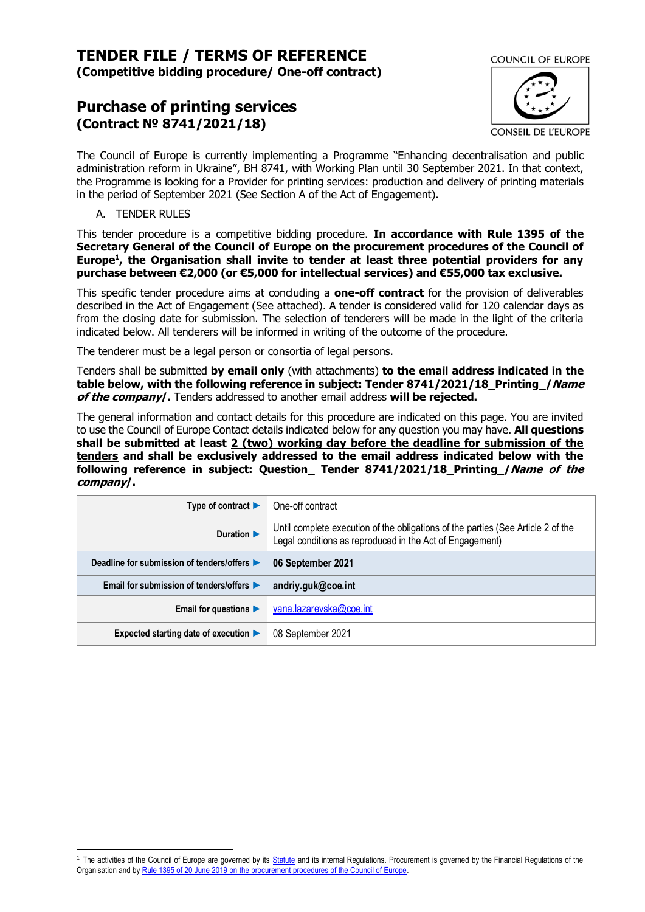# **TENDER FILE / TERMS OF REFERENCE (Competitive bidding procedure/ One-off contract)**

# **Purchase of printing services (Contract № 8741/2021/18)**



The Council of Europe is currently implementing a Programme "Enhancing decentralisation and public administration reform in Ukraine", BH 8741, with Working Plan until 30 September 2021. In that context, the Programme is looking for a Provider for printing services: production and delivery of printing materials in the period of September 2021 (See Section A of the Act of Engagement).

# A. TENDER RULES

This tender procedure is a competitive bidding procedure. **In accordance with Rule 1395 of the Secretary General of the Council of Europe on the procurement procedures of the Council of Europe<sup>1</sup> , the Organisation shall invite to tender at least three potential providers for any purchase between €2,000 (or €5,000 for intellectual services) and €55,000 tax exclusive.**

This specific tender procedure aims at concluding a **one-off contract** for the provision of deliverables described in the Act of Engagement (See attached). A tender is considered valid for 120 calendar days as from the closing date for submission. The selection of tenderers will be made in the light of the criteria indicated below. All tenderers will be informed in writing of the outcome of the procedure.

The tenderer must be a legal person or consortia of legal persons.

Tenders shall be submitted **by email only** (with attachments) **to the email address indicated in the table below, with the following reference in subject: Tender 8741/2021/18\_Printing\_/Name of the company/.** Tenders addressed to another email address **will be rejected.**

The general information and contact details for this procedure are indicated on this page. You are invited to use the Council of Europe Contact details indicated below for any question you may have. **All questions shall be submitted at least 2 (two) working day before the deadline for submission of the tenders and shall be exclusively addressed to the email address indicated below with the following reference in subject: Question\_ Tender 8741/2021/18\_Printing\_/Name of the company/.**

| Type of contract $\blacktriangleright$      | One-off contract                                                                                                                             |
|---------------------------------------------|----------------------------------------------------------------------------------------------------------------------------------------------|
| Duration $\blacktriangleright$              | Until complete execution of the obligations of the parties (See Article 2 of the<br>Legal conditions as reproduced in the Act of Engagement) |
| Deadline for submission of tenders/offers ▶ | 06 September 2021                                                                                                                            |
| Email for submission of tenders/offers ▶    | andriy.guk@coe.int                                                                                                                           |
| Email for questions $\blacktriangleright$   | yana.lazarevska@coe.int                                                                                                                      |
| Expected starting date of execution ▶       | 08 September 2021                                                                                                                            |

<sup>&</sup>lt;sup>1</sup> The activities of the Council of Europe are governed by its **Statute** and its internal Regulations. Procurement is governed by the Financial Regulations of the Organisation and b[y Rule 1395 of 20 June 2019 on the procurement procedures of the Council of Europe.](https://search.coe.int/intranet/Pages/result_details.aspx?ObjectId=090000168094853e)